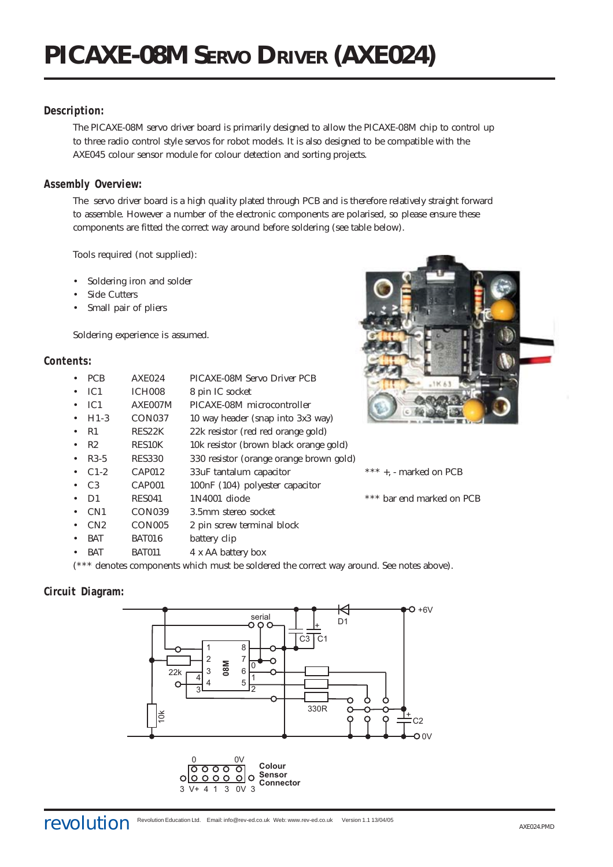# **Description:**

The PICAXE-08M servo driver board is primarily designed to allow the PICAXE-08M chip to control up to three radio control style servos for robot models. It is also designed to be compatible with the AXE045 colour sensor module for colour detection and sorting projects.

# **Assembly Overview:**

The servo driver board is a high quality plated through PCB and is therefore relatively straight forward to assemble. However a number of the electronic components are polarised, so please ensure these components are fitted the correct way around before soldering (see table below).

Tools required (not supplied):

- Soldering iron and solder
- Side Cutters
- Small pair of pliers

Soldering experience is assumed.

## **Contents:**

| <b>PCB</b>      | <b>AXE024</b>      | PICAXE-08M Servo Driver PCB             |                           |
|-----------------|--------------------|-----------------------------------------|---------------------------|
| IC <sub>1</sub> | ICH <sub>008</sub> | 8 pin IC socket                         |                           |
| IC <sub>1</sub> | AXE007M            | PICAXE-08M microcontroller              |                           |
| $H1-3$          | CON <sub>037</sub> | 10 way header (snap into 3x3 way)       |                           |
| R1              | RES22K             | 22k resistor (red red orange gold)      |                           |
| R2              | <b>RES10K</b>      | 10k resistor (brown black orange gold)  |                           |
| $R3-5$          | <b>RES330</b>      | 330 resistor (orange orange brown gold) |                           |
| $C1-2$          | <b>CAP012</b>      | 33uF tantalum capacitor                 | $***$ +, - marked on PCB  |
| C <sub>3</sub>  | CAP <sub>001</sub> | 100nF (104) polyester capacitor         |                           |
| D <sub>1</sub>  | <b>RES041</b>      | 1N4001 diode                            | *** bar end marked on PCB |
| CN <sub>1</sub> | CON <sub>039</sub> | 3.5mm stereo socket                     |                           |
| CN2             | CON <sub>005</sub> | 2 pin screw terminal block              |                           |
| <b>BAT</b>      | <b>BAT016</b>      | battery clip                            |                           |
| <b>BAT</b>      | <b>BAT011</b>      | 4 x AA battery box                      |                           |



(\*\*\* denotes components which must be soldered the correct way around. See notes above).

# **Circuit Diagram:**

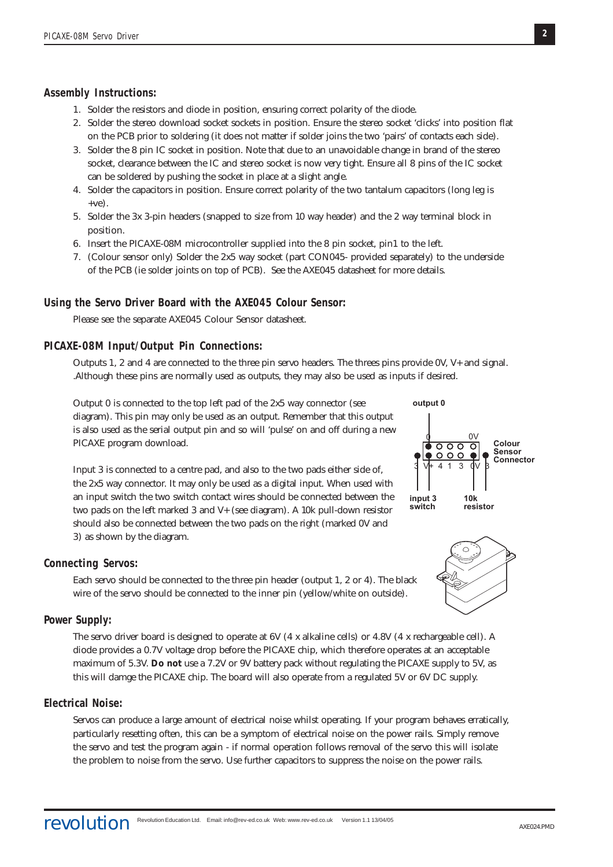#### **Assembly Instructions:**

- 1. Solder the resistors and diode in position, ensuring correct polarity of the diode.
- 2. Solder the stereo download socket sockets in position. Ensure the stereo socket 'clicks' into position flat on the PCB prior to soldering (it does not matter if solder joins the two 'pairs' of contacts each side).
- 3. Solder the 8 pin IC socket in position. Note that due to an unavoidable change in brand of the stereo socket, clearance between the IC and stereo socket is now very tight. Ensure all 8 pins of the IC socket can be soldered by pushing the socket in place at a slight angle.
- 4. Solder the capacitors in position. Ensure correct polarity of the two tantalum capacitors (long leg is  $+ve$ ).
- 5. Solder the 3x 3-pin headers (snapped to size from 10 way header) and the 2 way terminal block in position.
- 6. Insert the PICAXE-08M microcontroller supplied into the 8 pin socket, pin1 to the left.
- 7. (Colour sensor only) Solder the 2x5 way socket (part CON045- provided separately) to the underside of the PCB (ie solder joints on top of PCB). See the AXE045 datasheet for more details.

#### **Using the Servo Driver Board with the AXE045 Colour Sensor:**

Please see the separate AXE045 Colour Sensor datasheet.

#### **PICAXE-08M Input/Output Pin Connections:**

Outputs 1, 2 and 4 are connected to the three pin servo headers. The threes pins provide 0V, V+ and signal. .Although these pins are normally used as outputs, they may also be used as inputs if desired.

Output 0 is connected to the top left pad of the 2x5 way connector (see diagram). This pin may only be used as an output. Remember that this output is also used as the serial output pin and so will 'pulse' on and off during a new PICAXE program download.

Input 3 is connected to a centre pad, and also to the two pads either side of, the 2x5 way connector. It may only be used as a digital input. When used with an input switch the two switch contact wires should be connected between the two pads on the left marked 3 and V+ (see diagram). A 10k pull-down resistor should also be connected between the two pads on the right (marked 0V and 3) as shown by the diagram.



Each servo should be connected to the three pin header (output 1, 2 or 4). The black wire of the servo should be connected to the inner pin (yellow/white on outside).

#### **Power Supply:**

The servo driver board is designed to operate at 6V (4 x alkaline cells) or 4.8V (4 x rechargeable cell). A diode provides a 0.7V voltage drop before the PICAXE chip, which therefore operates at an acceptable maximum of 5.3V. **Do not** use a 7.2V or 9V battery pack without regulating the PICAXE supply to 5V, as this will damge the PICAXE chip. The board will also operate from a regulated 5V or 6V DC supply.

### **Electrical Noise:**

Servos can produce a large amount of electrical noise whilst operating. If your program behaves erratically, particularly resetting often, this can be a symptom of electrical noise on the power rails. Simply remove the servo and test the program again - if normal operation follows removal of the servo this will isolate the problem to noise from the servo. Use further capacitors to suppress the noise on the power rails.